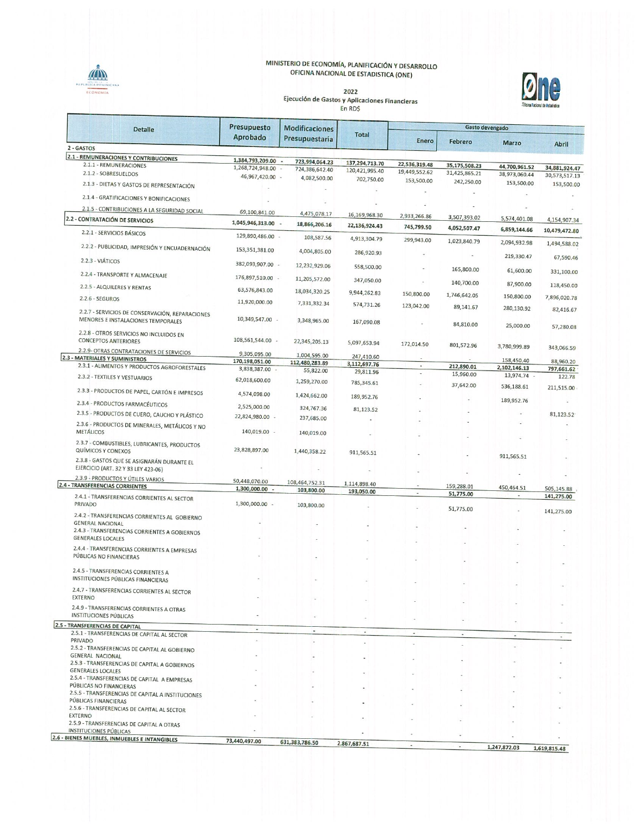## MINISTERIO DE ECONOMÍA, PLANIFICACIÓN Y DESARROLLO<br>OFICINA NACIONAL DE ESTADISTICA (ONE)



**One** 

| <b>Detalle</b>                                                                    | Presupuesto<br>Aprobado         | <b>Modificaciones</b><br>Presupuestaria | <b>Total</b>               | Gasto devengado                |                                |                             |               |
|-----------------------------------------------------------------------------------|---------------------------------|-----------------------------------------|----------------------------|--------------------------------|--------------------------------|-----------------------------|---------------|
|                                                                                   |                                 |                                         |                            | Enero                          | Febrero                        | <b>Marzo</b>                | <b>Abril</b>  |
| 2 - GASTOS                                                                        |                                 |                                         |                            |                                |                                |                             |               |
| <b>2.1 - REMUNERACIONES Y CONTRIBUCIONES</b>                                      | 1,384,793,209.00 -              | 723,994,064.23                          | 137,294,713.70             |                                |                                |                             |               |
| 2.1.1 - REMUNERACIONES<br>2.1.2 - SOBRESUELDOS                                    | 1,268,724,948.00 -              | 724,386,642.40                          | 120,421,995.40             | 22,536,319.48<br>19,449,552.62 | 35,175,508.23<br>31,425,865.21 | 44,700,961.52               | 34,881,924.47 |
|                                                                                   | 46,967,420.00 -                 | 4,082,500.00                            | 702,750.00                 | 153,500.00                     | 242,250.00                     | 38,973,060.44<br>153,500.00 | 30,573,517.13 |
| 2.1.3 - DIETAS Y GASTOS DE REPRESENTACIÓN                                         |                                 |                                         |                            |                                |                                |                             | 153,500.00    |
| 2.1.4 - GRATIFICACIONES Y BONIFICACIONES                                          |                                 |                                         |                            |                                |                                |                             |               |
| 2.1.5 - CONTRIBUCIONES A LA SEGURIDAD SOCIAL                                      | 69,100,841.00                   |                                         |                            |                                |                                |                             |               |
| 2.2 - CONTRATACIÓN DE SERVICIOS                                                   | 1,045,946,313.00                | 4,475,078.17                            | 16,169,968.30              | 2,933,266.86                   | 3,507,393.02                   | 5,574,401.08                | 4,154,907.34  |
| 2.2.1 - SERVICIOS BÁSICOS                                                         |                                 | 18,866,206.16                           | 22,136,924.43              | 745,799.50                     | 4,052,507.47                   | 6,859,144.66                | 10,479,472.80 |
|                                                                                   | 129,890,486.00 -                | 108,587.56                              | 4,913,304.79               | 299,943.00                     | 1,023,840.79                   | 2,094,932.98                | 1,494,588.02  |
| 2.2.2 - PUBLICIDAD, IMPRESIÓN Y ENCUADERNACIÓN                                    | 153,351,381.00                  | 4,004,805.00                            | 286,920.93                 |                                | $\sim$                         | 219,330.47                  | 67,590.46     |
| 2.2.3 - VIÁTICOS                                                                  | 382,093,907.00 -                | 12,232,929.06                           | 558,500.00                 |                                | 165,800.00                     |                             |               |
| 2.2.4 - TRANSPORTE Y ALMACENAJE                                                   | 176,897,510.00 -                | 11,205,572.00                           | 347,050.00                 | $\overline{a}$                 |                                | 61,600.00                   | 331,100.00    |
| 2.2.5 - ALQUILERES Y RENTAS                                                       | 63,576,843.00                   | 18,034,320.25                           | 9,944,262.83               |                                | 140,700.00                     | 87,900.00                   | 118,450.00    |
| $2.2.6 - SEGUROS$                                                                 | 11,920,000.00                   |                                         |                            | 150,800.00                     | 1,746,642.05                   | 150,800.00                  | 7,896,020.78  |
| 2.2.7 - SERVICIOS DE CONSERVACIÓN, REPARACIONES                                   |                                 | 7,331,332.34                            | 574,731.26                 | 123,042.00                     | 89,141.67                      | 280,130.92                  | 82,416.67     |
| MENORES E INSTALACIONES TEMPORALES                                                | 10,349,547.00 -                 | 3,348,965.00                            | 167,090.08                 |                                | 84,810.00                      |                             |               |
| 2.2.8 - OTROS SERVICIOS NO INCLUIDOS EN                                           |                                 |                                         |                            |                                |                                | 25,000.00                   | 57,280.08     |
| <b>CONCEPTOS ANTERIORES</b>                                                       | 108,561,544.00 -                | 22,345,205.13                           | 5,097,653.94               | 172,014.50                     | 801,572.96                     |                             |               |
| 2.2.9- OTRAS CONTRATACIONES DE SERVICIOS                                          | 9,305,095.00                    | 1,004,595.00                            |                            |                                |                                | 3,780,999.89                | 343,066.59    |
| 2.3 - MATERIALES Y SUMINISTROS                                                    | 170,198,051.00                  | 112,480,283.89                          | 247,410.60<br>3,112,697.76 |                                |                                | 158,450.40                  | 88,960.20     |
| 2.3.1 - ALIMENTOS Y PRODUCTOS AGROFORESTALES                                      | 3,838,387.00 -                  | 55,822.00                               | 29,811.96                  |                                | 212,890.01<br>15,960.00        | 2,102,146.13                | 797,661.62    |
| 2.3.2 - TEXTILES Y VESTUARIOS                                                     | 62,018,600.00                   | 1,259,270.00                            | 785,345.61                 |                                | 37,642.00                      | 13,974.74 -<br>536,188.61   | 122.78        |
| 2.3.3 - PRODUCTOS DE PAPEL, CARTÓN E IMPRESOS                                     | 4,574,098.00                    | 1,424,662.00                            | 189,952.76                 |                                |                                |                             | 211,515.00    |
| 2.3.4 - PRODUCTOS FARMACÉUTICOS                                                   | 2,525,000.00                    | 324,767.36                              | 81,123.52                  |                                |                                | 189,952.76                  |               |
| 2.3.5 - PRODUCTOS DE CUERO, CAUCHO Y PLÁSTICO                                     | 22,824,980.00 -                 | 237,685.00                              |                            |                                |                                |                             | 81,123.52     |
| 2.3.6 - PRODUCTOS DE MINERALES, METÁLICOS Y NO<br><b>METÁLICOS</b>                | 140,019.00 -                    | 140,019.00                              |                            |                                |                                |                             |               |
| 2.3.7 - COMBUSTIBLES, LUBRICANTES, PRODUCTOS                                      |                                 |                                         |                            |                                |                                |                             |               |
| <b>QUÍMICOS Y CONEXOS</b>                                                         | 23,828,897.00                   | 1,440,358.22                            | 911,565.51                 |                                |                                | 911,565.51                  |               |
| 2.3.8 - GASTOS QUE SE ASIGNARÁN DURANTE EL<br>EJERCICIO (ART. 32 Y 33 LEY 423-06) |                                 |                                         |                            |                                |                                |                             |               |
| 2.3.9 - PRODUCTOS Y ÚTILES VARIOS                                                 |                                 |                                         |                            |                                |                                |                             |               |
| <b>2.4 - TRANSFERENCIAS CORRIENTES</b>                                            | 50,448,070.00<br>1,300,000.00 - | 108,464,752.31<br>103,800.00            | 1,114,898.40               |                                | 159,288.01                     | 450,464.51                  | 505,145.88    |
| 2.4.1 - TRANSFERENCIAS CORRIENTES AL SECTOR                                       |                                 |                                         | 193,050.00                 | $\overline{\phantom{a}}$       | 51,775.00                      | $\frac{1}{2}$               | 141,275.00    |
| PRIVADO                                                                           | 1,300,000.00 -                  | 103,800.00                              |                            |                                | 51,775.00                      |                             | 141,275.00    |
| 2.4.2 - TRANSFERENCIAS CORRIENTES AL GOBIERNO<br><b>GENERAL NACIONAL</b>          |                                 |                                         |                            |                                |                                |                             |               |
| 2.4.3 - TRANSFERENCIAS CORRIENTES A GOBIERNOS                                     |                                 |                                         |                            |                                |                                |                             |               |
| <b>GENERALES LOCALES</b>                                                          |                                 |                                         |                            |                                |                                |                             |               |
| 2.4.4 - TRANSFERENCIAS CORRIENTES A EMPRESAS                                      |                                 |                                         |                            |                                |                                |                             |               |
| PÚBLICAS NO FINANCIERAS                                                           |                                 |                                         |                            |                                |                                |                             |               |
| 2.4.5 - TRANSFERENCIAS CORRIENTES A                                               |                                 |                                         |                            |                                |                                |                             |               |
| INSTITUCIONES PÚBLICAS FINANCIERAS                                                |                                 |                                         |                            |                                |                                |                             |               |
| 2.4.7 - TRANSFERENCIAS CORRIENTES AL SECTOR<br><b>EXTERNO</b>                     |                                 |                                         |                            |                                |                                |                             |               |
|                                                                                   |                                 |                                         |                            |                                |                                |                             |               |
| 2.4.9 - TRANSFERENCIAS CORRIENTES A OTRAS<br><b>INSTITUCIONES PÚBLICAS</b>        |                                 |                                         |                            |                                |                                |                             |               |
| 2.5 - TRANSFERENCIAS DE CAPITAL                                                   | ٠                               |                                         |                            |                                |                                |                             |               |
| 2.5.1 - TRANSFERENCIAS DE CAPITAL AL SECTOR                                       |                                 |                                         | $\overline{\phantom{a}}$   | $\overline{\phantom{a}}$       | $\mathcal{L}^{\mathcal{L}}$    |                             |               |
| PRIVADO<br>2.5.2 - TRANSFERENCIAS DE CAPITAL AL GOBIERNO                          |                                 |                                         |                            |                                |                                |                             |               |
| <b>GENERAL NACIONAL</b>                                                           |                                 |                                         |                            |                                |                                |                             |               |
| 2.5.3 - TRANSFERENCIAS DE CAPITAL A GOBIERNOS                                     |                                 |                                         |                            |                                |                                |                             |               |
| <b>GENERALES LOCALES</b><br>2.5.4 - TRANSFERENCIAS DE CAPITAL A EMPRESAS          |                                 |                                         |                            |                                |                                |                             |               |
| PÚBLICAS NO FINANCIERAS                                                           |                                 |                                         |                            |                                |                                |                             |               |
| 2.5.5 - TRANSFERENCIAS DE CAPITAL A INSTITUCIONES                                 |                                 |                                         |                            |                                |                                |                             |               |
| PÚBLICAS FINANCIERAS                                                              |                                 |                                         |                            |                                |                                |                             |               |
| 2.5.6 - TRANSFERENCIAS DE CAPITAL AL SECTOR<br><b>EXTERNO</b>                     |                                 |                                         |                            |                                |                                |                             |               |
| 2.5.9 - TRANSFERENCIAS DE CAPITAL A OTRAS                                         |                                 |                                         |                            |                                |                                |                             |               |

2.3.3 - IMMSPERENCIAS DE CAPITAL A OTRAS<br>INSTITUCIONES PÚBLICAS<br>2.6 - BIENES MUEBLES, INMUEBLES E INTANGIBLES

73,440,497.00

631, 383, 786.50

2,867,687.51

**MN** 

1,247,872.03 1,619,815.48

à.

 $\overline{\phantom{a}}$